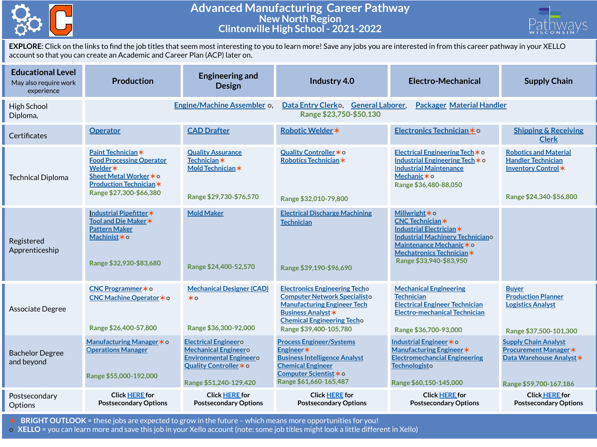

## **Advanced Manufacturing Career Pathway New North Region Clintonville High School - 2021-2022**



**EXPLORE**: Click on the links to find the job titles that seem most interesting to you to learn more! Save any jobs you are interested in from this career pathway in your XELLO account so that you can create an Academic and Career Plan (ACP) later on.

| <b>Educational Level</b><br>May also require work<br>experience | <b>Production</b>                                                                                                                                              | <b>Engineering and</b><br><b>Design</b>                                                                                                          | Industry 4.0                                                                                                                                                                                                  | Electro-Mechanical                                                                                                                                                                           | <b>Supply Chain</b>                                                                                               |  |  |
|-----------------------------------------------------------------|----------------------------------------------------------------------------------------------------------------------------------------------------------------|--------------------------------------------------------------------------------------------------------------------------------------------------|---------------------------------------------------------------------------------------------------------------------------------------------------------------------------------------------------------------|----------------------------------------------------------------------------------------------------------------------------------------------------------------------------------------------|-------------------------------------------------------------------------------------------------------------------|--|--|
| High School<br>Diploma,                                         |                                                                                                                                                                | Engine/Machine Assembler of                                                                                                                      | Data Entry Clerko, General Laborer,<br>Range \$23,750-\$50,130                                                                                                                                                | <b>Packager Material Handler</b>                                                                                                                                                             |                                                                                                                   |  |  |
| Certificates                                                    | <b>Operator</b>                                                                                                                                                | <b>CAD Drafter</b>                                                                                                                               | Robotic Welder *                                                                                                                                                                                              | Electronics Technician * 0                                                                                                                                                                   | <b>Shipping &amp; Receiving</b><br><b>Clerk</b>                                                                   |  |  |
| <b>Technical Diploma</b>                                        | Paint Technician*<br><b>Food Processing Operator</b><br>Welder <b>*</b><br>Sheet Metal Worker * o<br><b>Production Technician *</b><br>Range \$27,300-\$66,380 | <b>Quality Assurance</b><br><b>Technician</b> *<br>Mold Technician *<br>Range \$29,730-\$76,570                                                  | Quality Controller * o<br>Robotics Technician*<br>Range \$32,010-79,800                                                                                                                                       | Electrical Engineering Tech * o<br>Industrial Engineering Tech * o<br><b>Industrial Maintenance</b><br>Mechanic*o<br>Range \$36,480-88,050                                                   | <b>Robotics and Material</b><br><b>Handler Technician</b><br>Inventory Control*<br>Range \$24,340-\$56,800        |  |  |
| Registered<br>Apprenticeship                                    | Industrial Pipefitter*<br>Tool and Die Maker *<br><b>Pattern Maker</b><br>Machinist * o<br>Range \$32,930-\$83,680                                             | <b>Mold Maker</b><br>Range \$24,400-52,570                                                                                                       | <b>Electrical Discharge Machining</b><br><b>Technician</b><br>Range \$39,190-\$96,690                                                                                                                         | Millwright * o<br>CNC Technician*<br>Industrial Electrician *<br><b>Industrial Machinery Techniciano</b><br>Maintenance Mechanic * 0<br>Mechatronics Technician *<br>Range \$33,940-\$83,950 |                                                                                                                   |  |  |
| Associate Degree                                                | CNC Programmer * o<br>CNC Machine Operator * o<br>Range \$26,400-57,800                                                                                        | <b>Mechanical Designer (CAD)</b><br>$\star \circ$<br>Range \$36,300-92,000                                                                       | <b>Electronics Engineering Techo</b><br><b>Computer Network Specialisto</b><br><b>Manufacturing Engineer Tech</b><br><b>Business Analyst *</b><br><b>Chemical Engineering Techo</b><br>Range \$39,400-105,780 | <b>Mechanical Engineering</b><br><b>Technician</b><br><b>Electrical Engineer Technician</b><br><b>Electro-mechanical Technician</b><br>Range \$36,700-93,000                                 | <b>Buyer</b><br><b>Production Planner</b><br><b>Logistics Analyst</b><br>Range \$37,500-101,300                   |  |  |
| <b>Bachelor Degree</b><br>and beyond                            | Manufacturing Manager * o<br><b>Operations Manager</b><br>Range \$55,000-192,000                                                                               | <b>Electrical Engineero</b><br><b>Mechanical Engineero</b><br><b>Environmental Engineero</b><br>Quality Controller * o<br>Range \$51,240-129,420 | <b>Process Engineer/Systems</b><br>Engineer*<br><b>Business Intelligence Analyst</b><br><b>Chemical Engineer</b><br>Computer Scientist * o<br>Range \$61,660-165,487                                          | Industrial Engineer * o<br>Manufacturing Engineer *<br><b>Electromechancial Engineering</b><br>Technologisto<br>Range \$60,150-145,000                                                       | <b>Supply Chain Analyst</b><br><b>Procurement Manager *</b><br>Data Warehouse Analyst *<br>Range \$59,700-167,186 |  |  |
| Postsecondary<br>Options                                        | <b>Click HERE for</b><br><b>Postsecondary Options</b>                                                                                                          | <b>Click HERE for</b><br><b>Postsecondary Options</b>                                                                                            | <b>Click HERE for</b><br><b>Postsecondary Options</b>                                                                                                                                                         | <b>Click HERE for</b><br><b>Postsecondary Options</b>                                                                                                                                        | <b>Click HERE for</b><br><b>Postsecondary Options</b>                                                             |  |  |

✶ **BRIGHT OUTLOOK** = these jobs are expected to grow in the future – which means more opportunities for you!

⭘ **XELLO** = you can learn more and save this job in your Xello account (note: some job titles might look a little different in Xello)